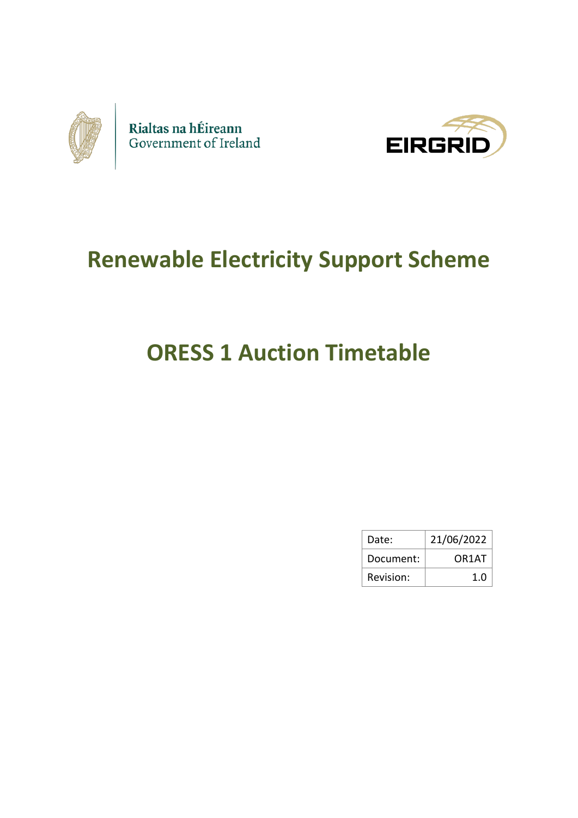



## **Renewable Electricity Support Scheme**

# **ORESS 1 Auction Timetable**

| Date:     | 21/06/2022 |  |
|-----------|------------|--|
| Document: | OR1AT      |  |
| Revision: | 1.0        |  |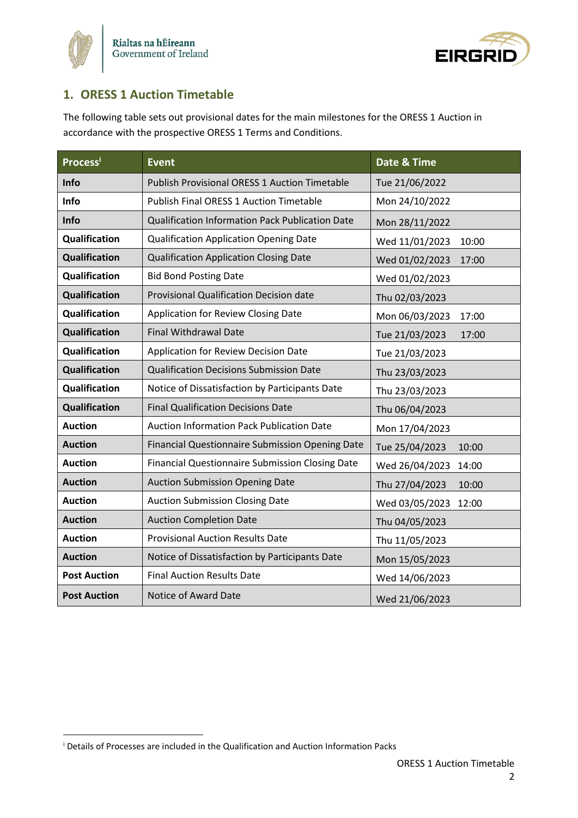



## **1. ORESS 1 Auction Timetable**

The following table sets out provisional dates for the main milestones for the ORESS 1 Auction in accordance with the prospective ORESS 1 Terms and Conditions.

| <b>Process</b> i     | <b>Event</b>                                           | Date & Time             |
|----------------------|--------------------------------------------------------|-------------------------|
| Info                 | <b>Publish Provisional ORESS 1 Auction Timetable</b>   | Tue 21/06/2022          |
| Info                 | <b>Publish Final ORESS 1 Auction Timetable</b>         | Mon 24/10/2022          |
| Info                 | Qualification Information Pack Publication Date        | Mon 28/11/2022          |
| <b>Qualification</b> | <b>Qualification Application Opening Date</b>          | Wed 11/01/2023<br>10:00 |
| <b>Qualification</b> | <b>Qualification Application Closing Date</b>          | Wed 01/02/2023<br>17:00 |
| <b>Qualification</b> | <b>Bid Bond Posting Date</b>                           | Wed 01/02/2023          |
| <b>Qualification</b> | Provisional Qualification Decision date                | Thu 02/03/2023          |
| <b>Qualification</b> | Application for Review Closing Date                    | Mon 06/03/2023<br>17:00 |
| <b>Qualification</b> | <b>Final Withdrawal Date</b>                           | Tue 21/03/2023<br>17:00 |
| <b>Qualification</b> | Application for Review Decision Date                   | Tue 21/03/2023          |
| <b>Qualification</b> | <b>Qualification Decisions Submission Date</b>         | Thu 23/03/2023          |
| <b>Qualification</b> | Notice of Dissatisfaction by Participants Date         | Thu 23/03/2023          |
| <b>Qualification</b> | <b>Final Qualification Decisions Date</b>              | Thu 06/04/2023          |
| <b>Auction</b>       | <b>Auction Information Pack Publication Date</b>       | Mon 17/04/2023          |
| <b>Auction</b>       | Financial Questionnaire Submission Opening Date        | Tue 25/04/2023<br>10:00 |
| <b>Auction</b>       | <b>Financial Questionnaire Submission Closing Date</b> | Wed 26/04/2023<br>14:00 |
| <b>Auction</b>       | <b>Auction Submission Opening Date</b>                 | Thu 27/04/2023<br>10:00 |
| <b>Auction</b>       | <b>Auction Submission Closing Date</b>                 | Wed 03/05/2023<br>12:00 |
| <b>Auction</b>       | <b>Auction Completion Date</b>                         | Thu 04/05/2023          |
| <b>Auction</b>       | <b>Provisional Auction Results Date</b>                | Thu 11/05/2023          |
| <b>Auction</b>       | Notice of Dissatisfaction by Participants Date         | Mon 15/05/2023          |
| <b>Post Auction</b>  | <b>Final Auction Results Date</b>                      | Wed 14/06/2023          |
| <b>Post Auction</b>  | Notice of Award Date                                   | Wed 21/06/2023          |

<sup>&</sup>lt;sup>i</sup> Details of Processes are included in the Qualification and Auction Information Packs